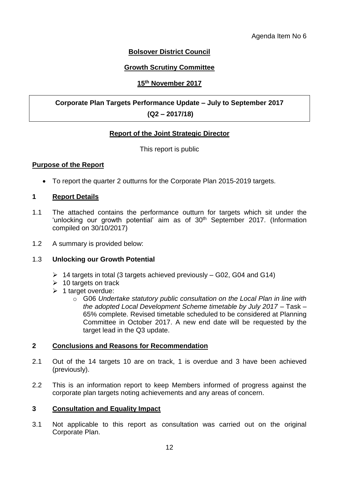# **Bolsover District Council**

## **Growth Scrutiny Committee**

## **15th November 2017**

# **Corporate Plan Targets Performance Update – July to September 2017**

## **(Q2 – 2017/18)**

## **Report of the Joint Strategic Director**

### This report is public

### **Purpose of the Report**

To report the quarter 2 outturns for the Corporate Plan 2015-2019 targets.

#### **1 Report Details**

- 1.1 The attached contains the performance outturn for targets which sit under the 'unlocking our growth potential' aim as of 30<sup>th</sup> September 2017. (Information compiled on 30/10/2017)
- 1.2 A summary is provided below:

### 1.3 **Unlocking our Growth Potential**

- $\triangleright$  14 targets in total (3 targets achieved previously G02, G04 and G14)
- $\geq 10$  targets on track
- $\geq 1$  target overdue:
	- o G06 *Undertake statutory public consultation on the Local Plan in line with the adopted Local Development Scheme timetable by July 2017* – Task – 65% complete. Revised timetable scheduled to be considered at Planning Committee in October 2017. A new end date will be requested by the target lead in the Q3 update.

#### **2 Conclusions and Reasons for Recommendation**

- 2.1 Out of the 14 targets 10 are on track, 1 is overdue and 3 have been achieved (previously).
- 2.2 This is an information report to keep Members informed of progress against the corporate plan targets noting achievements and any areas of concern.

#### **3 Consultation and Equality Impact**

3.1 Not applicable to this report as consultation was carried out on the original Corporate Plan.